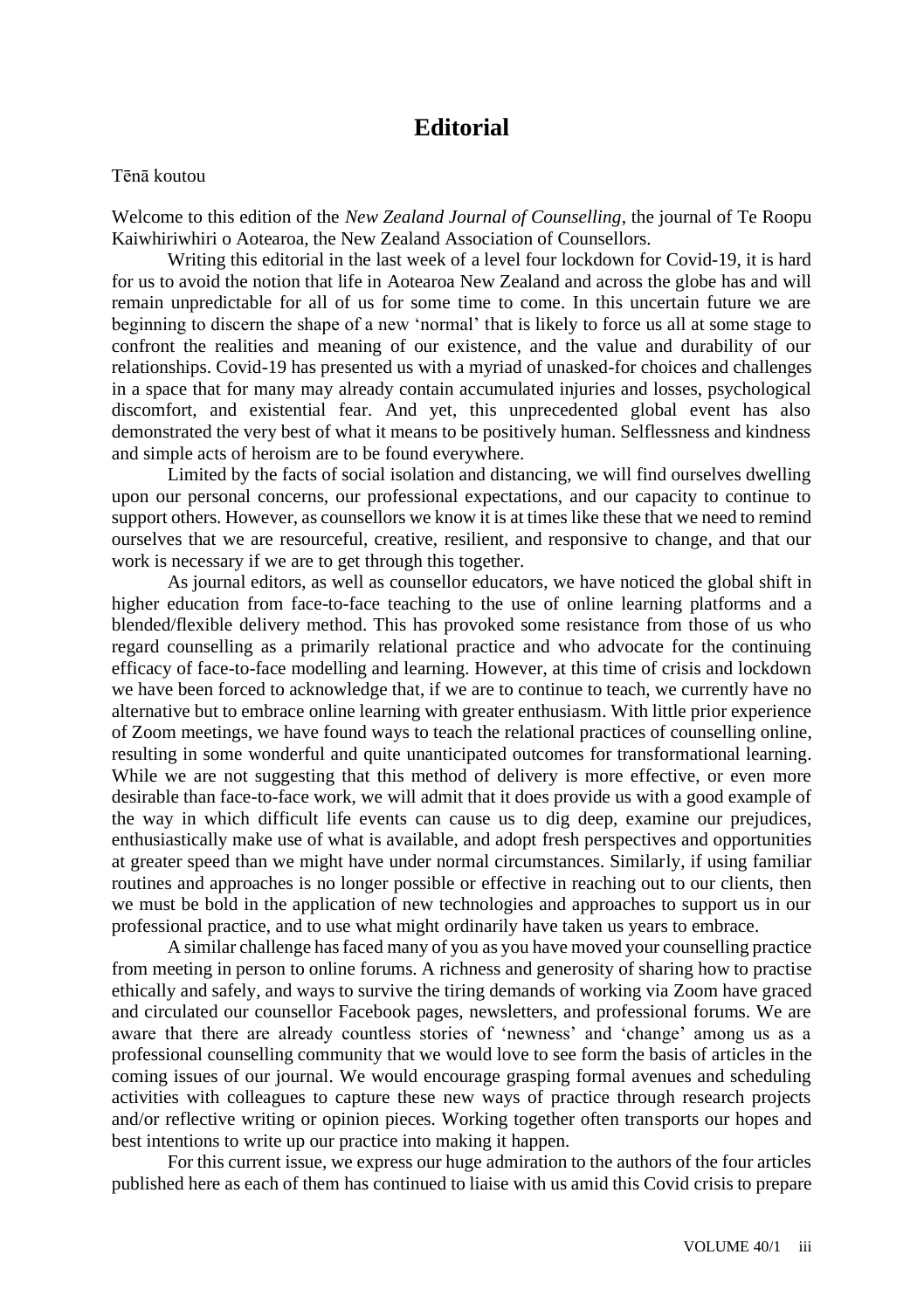## **Editorial**

## Tēnā koutou

Welcome to this edition of the *New Zealand Journal of Counselling*, the journal of Te Roopu Kaiwhiriwhiri o Aotearoa, the New Zealand Association of Counsellors.

Writing this editorial in the last week of a level four lockdown for Covid-19, it is hard for us to avoid the notion that life in Aotearoa New Zealand and across the globe has and will remain unpredictable for all of us for some time to come. In this uncertain future we are beginning to discern the shape of a new 'normal' that is likely to force us all at some stage to confront the realities and meaning of our existence, and the value and durability of our relationships. Covid-19 has presented us with a myriad of unasked-for choices and challenges in a space that for many may already contain accumulated injuries and losses, psychological discomfort, and existential fear. And yet, this unprecedented global event has also demonstrated the very best of what it means to be positively human. Selflessness and kindness and simple acts of heroism are to be found everywhere.

Limited by the facts of social isolation and distancing, we will find ourselves dwelling upon our personal concerns, our professional expectations, and our capacity to continue to support others. However, as counsellors we know it is at times like these that we need to remind ourselves that we are resourceful, creative, resilient, and responsive to change, and that our work is necessary if we are to get through this together.

As journal editors, as well as counsellor educators, we have noticed the global shift in higher education from face-to-face teaching to the use of online learning platforms and a blended/flexible delivery method. This has provoked some resistance from those of us who regard counselling as a primarily relational practice and who advocate for the continuing efficacy of face-to-face modelling and learning. However, at this time of crisis and lockdown we have been forced to acknowledge that, if we are to continue to teach, we currently have no alternative but to embrace online learning with greater enthusiasm. With little prior experience of Zoom meetings, we have found ways to teach the relational practices of counselling online, resulting in some wonderful and quite unanticipated outcomes for transformational learning. While we are not suggesting that this method of delivery is more effective, or even more desirable than face-to-face work, we will admit that it does provide us with a good example of the way in which difficult life events can cause us to dig deep, examine our prejudices, enthusiastically make use of what is available, and adopt fresh perspectives and opportunities at greater speed than we might have under normal circumstances. Similarly, if using familiar routines and approaches is no longer possible or effective in reaching out to our clients, then we must be bold in the application of new technologies and approaches to support us in our professional practice, and to use what might ordinarily have taken us years to embrace.

A similar challenge has faced many of you as you have moved your counselling practice from meeting in person to online forums. A richness and generosity of sharing how to practise ethically and safely, and ways to survive the tiring demands of working via Zoom have graced and circulated our counsellor Facebook pages, newsletters, and professional forums. We are aware that there are already countless stories of 'newness' and 'change' among us as a professional counselling community that we would love to see form the basis of articles in the coming issues of our journal. We would encourage grasping formal avenues and scheduling activities with colleagues to capture these new ways of practice through research projects and/or reflective writing or opinion pieces. Working together often transports our hopes and best intentions to write up our practice into making it happen.

For this current issue, we express our huge admiration to the authors of the four articles published here as each of them has continued to liaise with us amid this Covid crisis to prepare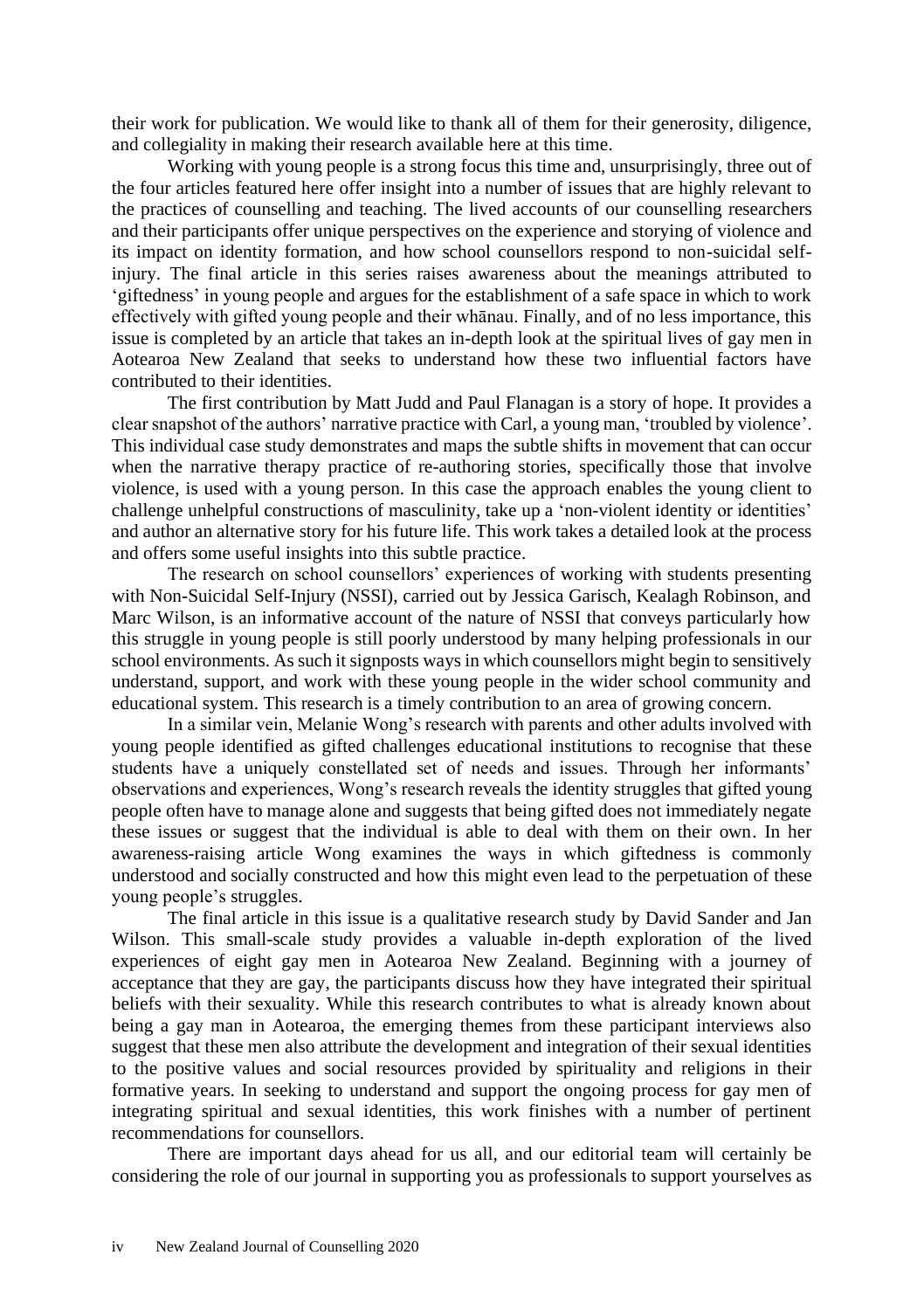their work for publication. We would like to thank all of them for their generosity, diligence, and collegiality in making their research available here at this time.

Working with young people is a strong focus this time and, unsurprisingly, three out of the four articles featured here offer insight into a number of issues that are highly relevant to the practices of counselling and teaching. The lived accounts of our counselling researchers and their participants offer unique perspectives on the experience and storying of violence and its impact on identity formation, and how school counsellors respond to non-suicidal selfinjury. The final article in this series raises awareness about the meanings attributed to 'giftedness' in young people and argues for the establishment of a safe space in which to work effectively with gifted young people and their whānau. Finally, and of no less importance, this issue is completed by an article that takes an in-depth look at the spiritual lives of gay men in Aotearoa New Zealand that seeks to understand how these two influential factors have contributed to their identities.

The first contribution by Matt Judd and Paul Flanagan is a story of hope. It provides a clear snapshot of the authors' narrative practice with Carl, a young man, 'troubled by violence'. This individual case study demonstrates and maps the subtle shifts in movement that can occur when the narrative therapy practice of re-authoring stories, specifically those that involve violence, is used with a young person. In this case the approach enables the young client to challenge unhelpful constructions of masculinity, take up a 'non-violent identity or identities' and author an alternative story for his future life. This work takes a detailed look at the process and offers some useful insights into this subtle practice.

The research on school counsellors' experiences of working with students presenting with Non-Suicidal Self-Injury (NSSI), carried out by Jessica Garisch, Kealagh Robinson, and Marc Wilson, is an informative account of the nature of NSSI that conveys particularly how this struggle in young people is still poorly understood by many helping professionals in our school environments. As such it signposts ways in which counsellors might begin to sensitively understand, support, and work with these young people in the wider school community and educational system. This research is a timely contribution to an area of growing concern.

In a similar vein, Melanie Wong's research with parents and other adults involved with young people identified as gifted challenges educational institutions to recognise that these students have a uniquely constellated set of needs and issues. Through her informants' observations and experiences, Wong's research reveals the identity struggles that gifted young people often have to manage alone and suggests that being gifted does not immediately negate these issues or suggest that the individual is able to deal with them on their own. In her awareness-raising article Wong examines the ways in which giftedness is commonly understood and socially constructed and how this might even lead to the perpetuation of these young people's struggles.

The final article in this issue is a qualitative research study by David Sander and Jan Wilson. This small-scale study provides a valuable in-depth exploration of the lived experiences of eight gay men in Aotearoa New Zealand. Beginning with a journey of acceptance that they are gay, the participants discuss how they have integrated their spiritual beliefs with their sexuality. While this research contributes to what is already known about being a gay man in Aotearoa, the emerging themes from these participant interviews also suggest that these men also attribute the development and integration of their sexual identities to the positive values and social resources provided by spirituality and religions in their formative years. In seeking to understand and support the ongoing process for gay men of integrating spiritual and sexual identities, this work finishes with a number of pertinent recommendations for counsellors.

There are important days ahead for us all, and our editorial team will certainly be considering the role of our journal in supporting you as professionals to support yourselves as